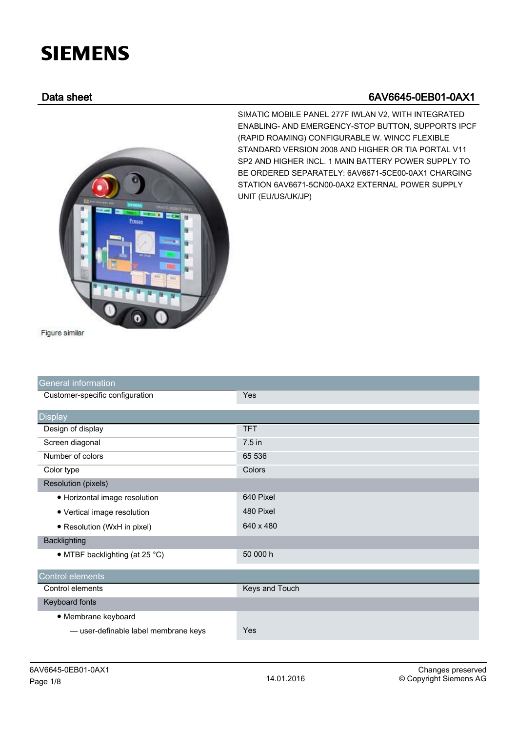## **SIEMENS**

## Data sheet 6AV6645-0EB01-0AX1



SIMATIC MOBILE PANEL 277F IWLAN V2, WITH INTEGRATED ENABLING- AND EMERGENCY-STOP BUTTON, SUPPORTS IPCF (RAPID ROAMING) CONFIGURABLE W. WINCC FLEXIBLE STANDARD VERSION 2008 AND HIGHER OR TIA PORTAL V11 SP2 AND HIGHER INCL. 1 MAIN BATTERY POWER SUPPLY TO BE ORDERED SEPARATELY: 6AV6671-5CE00-0AX1 CHARGING STATION 6AV6671-5CN00-0AX2 EXTERNAL POWER SUPPLY UNIT (EU/US/UK/JP)

Figure similar

| <b>General information</b>           |                |
|--------------------------------------|----------------|
| Customer-specific configuration      | Yes            |
| <b>Display</b>                       |                |
| Design of display                    | <b>TFT</b>     |
| Screen diagonal                      | 7.5 in         |
| Number of colors                     | 65 536         |
| Color type                           | Colors         |
| Resolution (pixels)                  |                |
| • Horizontal image resolution        | 640 Pixel      |
| • Vertical image resolution          | 480 Pixel      |
| • Resolution (WxH in pixel)          | 640 x 480      |
| <b>Backlighting</b>                  |                |
| • MTBF backlighting (at 25 °C)       | 50 000 h       |
| Control elements                     |                |
| Control elements                     | Keys and Touch |
| Keyboard fonts                       |                |
| • Membrane keyboard                  |                |
| - user-definable label membrane keys | Yes            |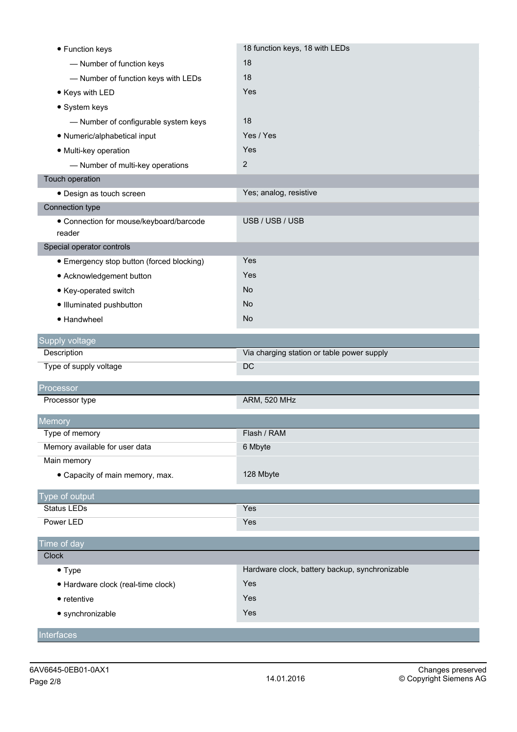| • Function keys                                   | 18 function keys, 18 with LEDs                 |
|---------------------------------------------------|------------------------------------------------|
| - Number of function keys                         | 18                                             |
| - Number of function keys with LEDs               | 18                                             |
| • Keys with LED                                   | Yes                                            |
| • System keys                                     |                                                |
| - Number of configurable system keys              | 18                                             |
| • Numeric/alphabetical input                      | Yes / Yes                                      |
| · Multi-key operation                             | Yes                                            |
| - Number of multi-key operations                  | 2                                              |
| Touch operation                                   |                                                |
| • Design as touch screen                          | Yes; analog, resistive                         |
| Connection type                                   |                                                |
| • Connection for mouse/keyboard/barcode<br>reader | USB / USB / USB                                |
| Special operator controls                         |                                                |
| • Emergency stop button (forced blocking)         | Yes                                            |
| • Acknowledgement button                          | Yes                                            |
| • Key-operated switch                             | <b>No</b>                                      |
| · Illuminated pushbutton                          | No                                             |
| • Handwheel                                       | No                                             |
|                                                   |                                                |
| <b>Supply voltage</b>                             |                                                |
| Description                                       | Via charging station or table power supply     |
| Type of supply voltage                            | DC                                             |
| Processor                                         |                                                |
| Processor type                                    | <b>ARM, 520 MHz</b>                            |
| <b>Memory</b>                                     |                                                |
| Type of memory                                    | Flash / RAM                                    |
| Memory available for user data                    | 6 Mbyte                                        |
| Main memory                                       |                                                |
| • Capacity of main memory, max.                   | 128 Mbyte                                      |
| Type of output                                    |                                                |
| <b>Status LEDs</b>                                | Yes                                            |
| Power LED                                         | Yes                                            |
| Time of day                                       |                                                |
| Clock                                             |                                                |
| $\bullet$ Type                                    | Hardware clock, battery backup, synchronizable |
| · Hardware clock (real-time clock)                | Yes                                            |
| $\bullet$ retentive                               | Yes                                            |
| · synchronizable                                  | Yes                                            |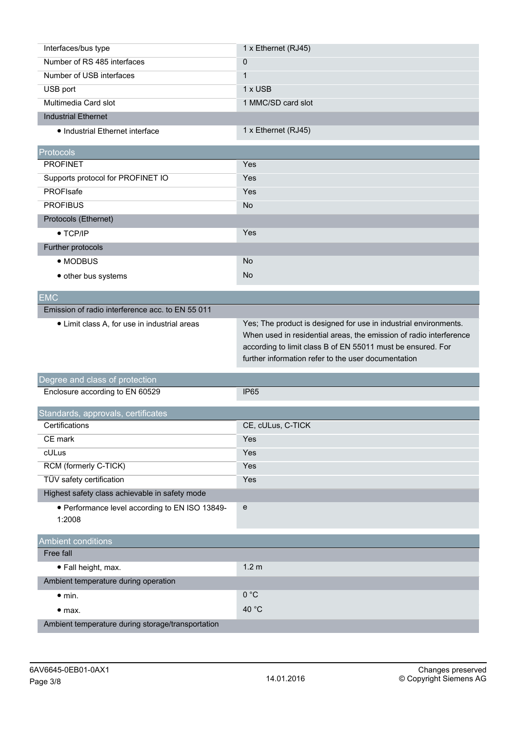| Interfaces/bus type                      | 1 x Ethernet (RJ45)       |
|------------------------------------------|---------------------------|
| Number of RS 485 interfaces              | 0                         |
| Number of USB interfaces                 |                           |
| USB port                                 | $1 \times$ USB            |
| Multimedia Card slot                     | 1 MMC/SD card slot        |
| <b>Industrial Ethernet</b>               |                           |
| Allia di catala LENs ann at liatanfa a a | $1 \vee$ Ethornot (D IAE) |

|  | • Industrial Ethernet interface |  |  |
|--|---------------------------------|--|--|
|--|---------------------------------|--|--|

1 x Ethernet (RJ45)

| <b>Protocols</b>                  |           |
|-----------------------------------|-----------|
| <b>PROFINET</b>                   | Yes       |
| Supports protocol for PROFINET IO | Yes       |
| PROFIsafe                         | Yes       |
| <b>PROFIBUS</b>                   | <b>No</b> |
| Protocols (Ethernet)              |           |
| $\bullet$ TCP/IP                  | Yes       |
| Further protocols                 |           |
| • MODBUS                          | <b>No</b> |
| • other bus systems               | <b>No</b> |

| <b>EMC</b>                                       |                                         |
|--------------------------------------------------|-----------------------------------------|
| Emission of radio interference acc. to EN 55 011 |                                         |
| • Limit class A, for use in industrial areas     | Yes: The product is designed for use in |
|                                                  | When used in residential areas the em   |

industrial environments. nission of radio interference according to limit class B of EN 55011 must be ensured. For further information refer to the user documentation

| Degree and class of protection                           |                   |  |
|----------------------------------------------------------|-------------------|--|
| Enclosure according to EN 60529                          | IP <sub>65</sub>  |  |
| Standards, approvals, certificates                       |                   |  |
| Certifications                                           | CE, cULus, C-TICK |  |
| CE mark                                                  | Yes               |  |
| cULus                                                    | Yes               |  |
| RCM (formerly C-TICK)                                    | Yes               |  |
| TÜV safety certification                                 | Yes               |  |
| Highest safety class achievable in safety mode           |                   |  |
| • Performance level according to EN ISO 13849-<br>1:2008 | e                 |  |
| <b>Ambient conditions</b>                                |                   |  |
| Free fall                                                |                   |  |
| • Fall height, max.                                      | 1.2 <sub>m</sub>  |  |
| Ambient temperature during operation                     |                   |  |
| $\bullet$ min.                                           | 0 °C              |  |
| $\bullet$ max.                                           | 40 °C             |  |
| Ambient temperature during storage/transportation        |                   |  |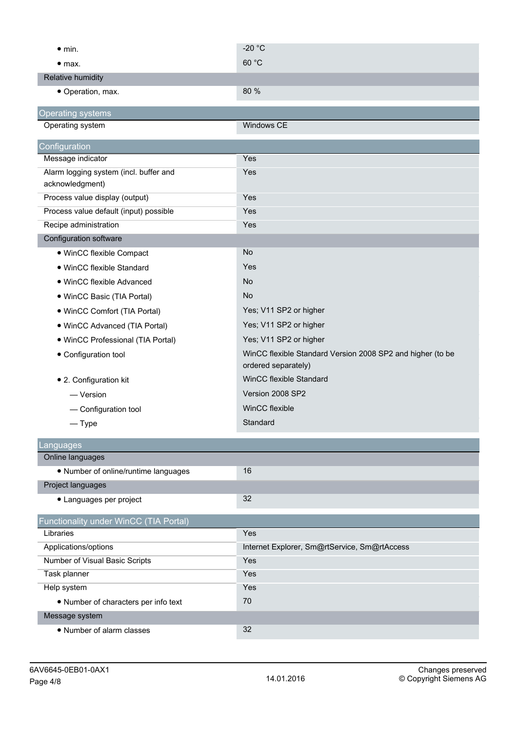| $\bullet$ min.                                            | $-20 °C$                                                                          |
|-----------------------------------------------------------|-----------------------------------------------------------------------------------|
| • <sub>max.</sub>                                         | 60 °C                                                                             |
| <b>Relative humidity</b>                                  |                                                                                   |
| • Operation, max.                                         | 80 %                                                                              |
|                                                           |                                                                                   |
| <b>Operating systems</b><br>Operating system              | Windows CE                                                                        |
|                                                           |                                                                                   |
| Configuration                                             |                                                                                   |
| Message indicator                                         | Yes                                                                               |
| Alarm logging system (incl. buffer and<br>acknowledgment) | Yes                                                                               |
| Process value display (output)                            | Yes                                                                               |
| Process value default (input) possible                    | Yes                                                                               |
| Recipe administration                                     | Yes                                                                               |
| Configuration software                                    |                                                                                   |
| · WinCC flexible Compact                                  | <b>No</b>                                                                         |
| • WinCC flexible Standard                                 | Yes                                                                               |
| · WinCC flexible Advanced                                 | <b>No</b>                                                                         |
| · WinCC Basic (TIA Portal)                                | <b>No</b>                                                                         |
| • WinCC Comfort (TIA Portal)                              | Yes; V11 SP2 or higher                                                            |
| • WinCC Advanced (TIA Portal)                             | Yes; V11 SP2 or higher                                                            |
| · WinCC Professional (TIA Portal)                         | Yes; V11 SP2 or higher                                                            |
| • Configuration tool                                      | WinCC flexible Standard Version 2008 SP2 and higher (to be<br>ordered separately) |
| • 2. Configuration kit                                    | WinCC flexible Standard                                                           |
| $-$ Version                                               | Version 2008 SP2                                                                  |
| - Configuration tool                                      | WinCC flexible                                                                    |
| $-$ Type                                                  | Standard                                                                          |
|                                                           |                                                                                   |
| _anguages                                                 |                                                                                   |
| Online languages                                          | 16                                                                                |
| • Number of online/runtime languages                      |                                                                                   |
| Project languages                                         | 32                                                                                |
| • Languages per project                                   |                                                                                   |
| Functionality under WinCC (TIA Portal)                    |                                                                                   |
| Libraries                                                 | Yes                                                                               |
| Applications/options                                      | Internet Explorer, Sm@rtService, Sm@rtAccess                                      |
| Number of Visual Basic Scripts                            | Yes                                                                               |
| Task planner                                              | Yes                                                                               |
| Help system                                               | Yes                                                                               |
| • Number of characters per info text                      | 70                                                                                |
| Message system                                            |                                                                                   |
| • Number of alarm classes                                 | 32                                                                                |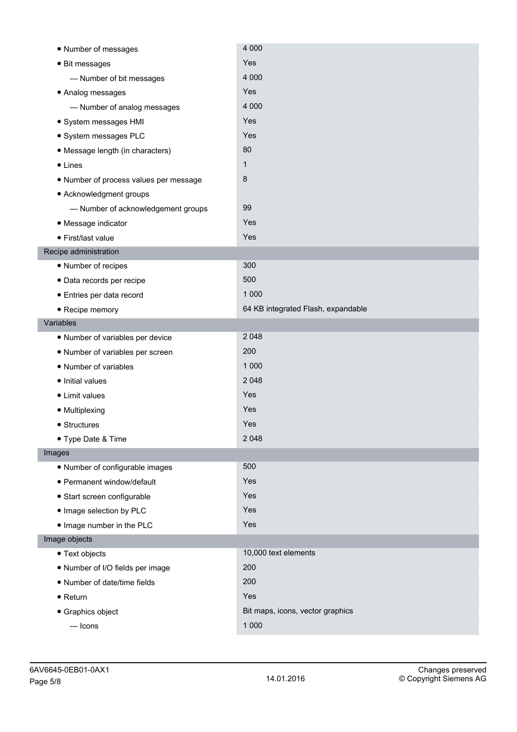| • Number of messages                   | 4 0 0 0                            |
|----------------------------------------|------------------------------------|
| • Bit messages                         | Yes                                |
| - Number of bit messages               | 4 0 0 0                            |
| • Analog messages                      | Yes                                |
| - Number of analog messages            | 4 0 0 0                            |
| · System messages HMI                  | Yes                                |
| · System messages PLC                  | Yes                                |
| • Message length (in characters)       | 80                                 |
| $\bullet$ Lines                        | $\mathbf 1$                        |
| . Number of process values per message | 8                                  |
| • Acknowledgment groups                |                                    |
| - Number of acknowledgement groups     | 99                                 |
| · Message indicator                    | Yes                                |
| • First/last value                     | Yes                                |
| Recipe administration                  |                                    |
| • Number of recipes                    | 300                                |
| · Data records per recipe              | 500                                |
| • Entries per data record              | 1 0 0 0                            |
| • Recipe memory                        | 64 KB integrated Flash, expandable |
| Variables                              |                                    |
| • Number of variables per device       | 2 0 4 8                            |
| · Number of variables per screen       | 200                                |
| • Number of variables                  | 1 0 0 0                            |
| • Initial values                       | 2 0 4 8                            |
| • Limit values                         | Yes                                |
| · Multiplexing                         | Yes                                |
| • Structures                           | Yes                                |
| • Type Date & Time                     | 2 0 4 8                            |
| Images                                 |                                    |
| • Number of configurable images        | 500                                |
| · Permanent window/default             | Yes                                |
| • Start screen configurable            | Yes                                |
| · Image selection by PLC               | Yes                                |
| • Image number in the PLC              | Yes                                |
| Image objects                          |                                    |
| • Text objects                         | 10,000 text elements               |
| • Number of I/O fields per image       | 200                                |
| • Number of date/time fields           | 200                                |
| $\bullet$ Return                       | Yes                                |
| • Graphics object                      | Bit maps, icons, vector graphics   |
| $-$ Icons                              | 1 0 0 0                            |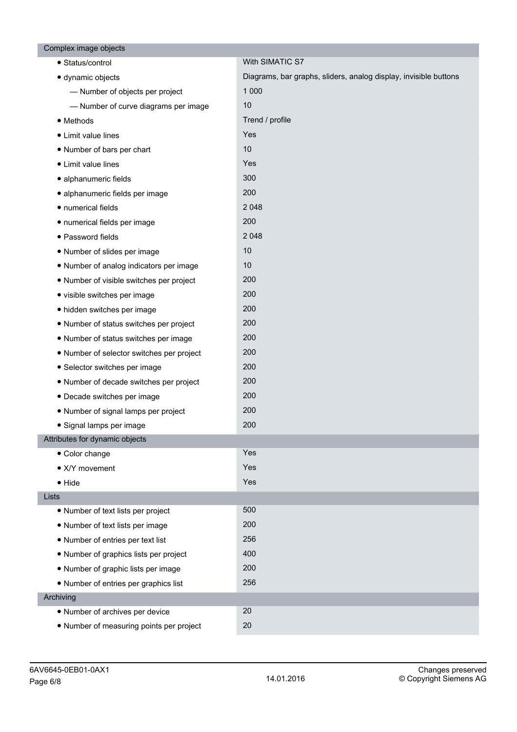| Complex image objects                     |                                                                  |
|-------------------------------------------|------------------------------------------------------------------|
| • Status/control                          | With SIMATIC S7                                                  |
| · dynamic objects                         | Diagrams, bar graphs, sliders, analog display, invisible buttons |
| - Number of objects per project           | 1 0 0 0                                                          |
| - Number of curve diagrams per image      | 10                                                               |
| • Methods                                 | Trend / profile                                                  |
| • Limit value lines                       | Yes                                                              |
| • Number of bars per chart                | 10                                                               |
| • Limit value lines                       | Yes                                                              |
| · alphanumeric fields                     | 300                                                              |
| · alphanumeric fields per image           | 200                                                              |
| · numerical fields                        | 2 0 4 8                                                          |
| • numerical fields per image              | 200                                                              |
| · Password fields                         | 2 0 4 8                                                          |
| • Number of slides per image              | 10                                                               |
| • Number of analog indicators per image   | 10                                                               |
| • Number of visible switches per project  | 200                                                              |
| • visible switches per image              | 200                                                              |
| • hidden switches per image               | 200                                                              |
| • Number of status switches per project   | 200                                                              |
| . Number of status switches per image     | 200                                                              |
| • Number of selector switches per project | 200                                                              |
| • Selector switches per image             | 200                                                              |
| • Number of decade switches per project   | 200                                                              |
| • Decade switches per image               | 200                                                              |
| • Number of signal lamps per project      | 200                                                              |
| · Signal lamps per image                  | 200                                                              |
| Attributes for dynamic objects            |                                                                  |
| • Color change                            | Yes                                                              |
| • X/Y movement                            | Yes                                                              |
| • Hide                                    | Yes                                                              |
| Lists                                     |                                                                  |
| • Number of text lists per project        | 500                                                              |
| • Number of text lists per image          | 200                                                              |
| • Number of entries per text list         | 256                                                              |
| • Number of graphics lists per project    | 400                                                              |
| • Number of graphic lists per image       | 200                                                              |
| • Number of entries per graphics list     | 256                                                              |
| Archiving                                 |                                                                  |
| • Number of archives per device           | 20                                                               |
| • Number of measuring points per project  | 20                                                               |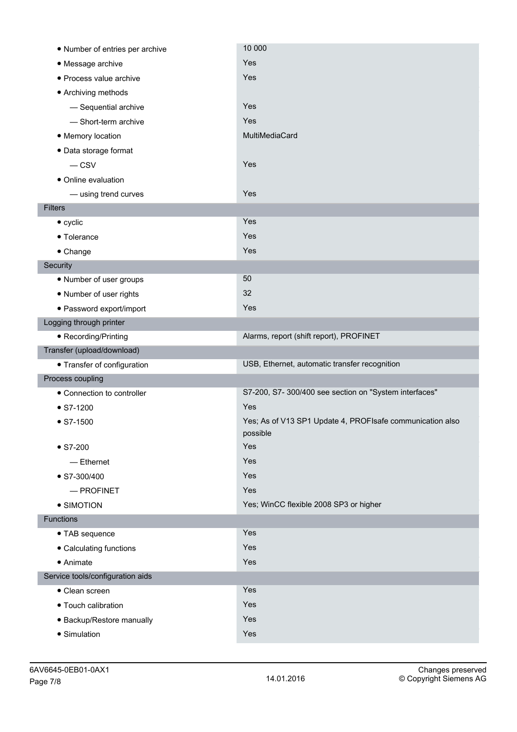| • Number of entries per archive  | 10 000                                                                |
|----------------------------------|-----------------------------------------------------------------------|
| • Message archive                | Yes                                                                   |
| · Process value archive          | Yes                                                                   |
| • Archiving methods              |                                                                       |
| - Sequential archive             | Yes                                                                   |
| - Short-term archive             | Yes                                                                   |
| • Memory location                | MultiMediaCard                                                        |
| • Data storage format            |                                                                       |
| $-$ CSV                          | Yes                                                                   |
| • Online evaluation              |                                                                       |
| - using trend curves             | Yes                                                                   |
| <b>Filters</b>                   |                                                                       |
| $\bullet$ cyclic                 | Yes                                                                   |
| • Tolerance                      | Yes                                                                   |
| • Change                         | Yes                                                                   |
| Security                         |                                                                       |
| • Number of user groups          | 50                                                                    |
| • Number of user rights          | 32                                                                    |
| • Password export/import         | Yes                                                                   |
| Logging through printer          |                                                                       |
| • Recording/Printing             | Alarms, report (shift report), PROFINET                               |
| Transfer (upload/download)       |                                                                       |
| • Transfer of configuration      | USB, Ethernet, automatic transfer recognition                         |
| Process coupling                 |                                                                       |
| • Connection to controller       | S7-200, S7-300/400 see section on "System interfaces"                 |
| $\bullet$ S7-1200                | Yes                                                                   |
| $\bullet$ S7-1500                | Yes; As of V13 SP1 Update 4, PROFIsafe communication also<br>possible |
| $\bullet$ S7-200                 | Yes                                                                   |
| - Ethernet                       | Yes                                                                   |
| $\bullet$ S7-300/400             | Yes                                                                   |
| $-$ PROFINET                     | Yes                                                                   |
| • SIMOTION                       | Yes; WinCC flexible 2008 SP3 or higher                                |
| Functions                        |                                                                       |
| • TAB sequence                   | Yes                                                                   |
| • Calculating functions          | Yes                                                                   |
| • Animate                        | Yes                                                                   |
| Service tools/configuration aids |                                                                       |
| • Clean screen                   | Yes                                                                   |
| • Touch calibration              | Yes                                                                   |
| · Backup/Restore manually        | Yes                                                                   |
| • Simulation                     |                                                                       |